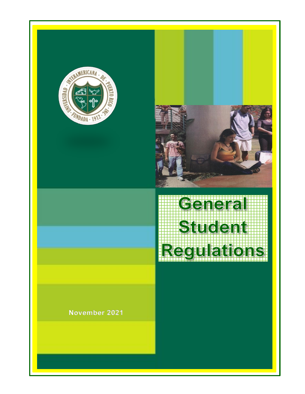



# Genera Student Regulatio

# **November 2021**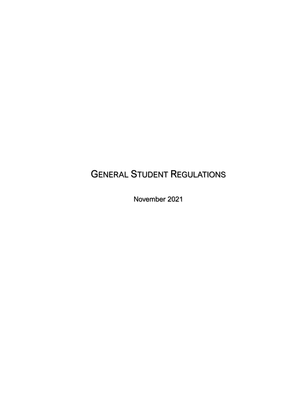# GENERAL STUDENT REGULATIONS

November 2021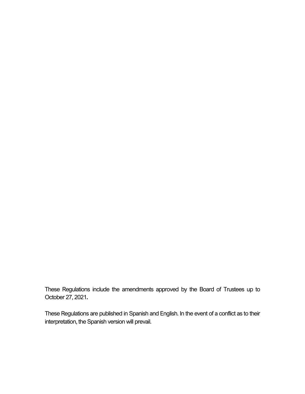These Regulations include the amendments approved by the Board of Trustees up to October 27, 2021**.**

These Regulations are published in Spanish and English. In the event of a conflict as to their interpretation, the Spanish version will prevail.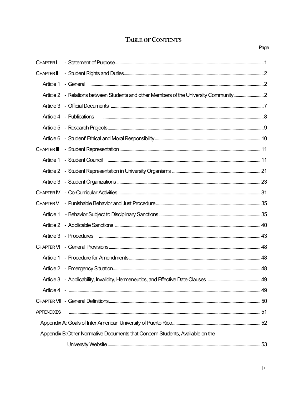# TABLE OF CONTENTS

| CHAPTER I                                                                     |                                                                                       |  |
|-------------------------------------------------------------------------------|---------------------------------------------------------------------------------------|--|
| <b>CHAPTER II</b>                                                             |                                                                                       |  |
| Article 1                                                                     |                                                                                       |  |
|                                                                               | Article 2 - Relations between Students and other Members of the University Community2 |  |
|                                                                               |                                                                                       |  |
|                                                                               |                                                                                       |  |
|                                                                               |                                                                                       |  |
|                                                                               |                                                                                       |  |
| CHAPTER III                                                                   |                                                                                       |  |
| Article 1                                                                     | - Student Council <b>Entrarrow Council 2016</b> - 11                                  |  |
|                                                                               |                                                                                       |  |
|                                                                               |                                                                                       |  |
|                                                                               |                                                                                       |  |
| <b>CHAPTER V</b>                                                              |                                                                                       |  |
| Article 1                                                                     |                                                                                       |  |
|                                                                               |                                                                                       |  |
|                                                                               |                                                                                       |  |
|                                                                               |                                                                                       |  |
| Article 1                                                                     |                                                                                       |  |
|                                                                               |                                                                                       |  |
|                                                                               |                                                                                       |  |
|                                                                               |                                                                                       |  |
|                                                                               |                                                                                       |  |
| <b>APPENDIXES</b>                                                             |                                                                                       |  |
|                                                                               |                                                                                       |  |
| Appendix B: Other Normative Documents that Concern Students, Available on the |                                                                                       |  |
|                                                                               |                                                                                       |  |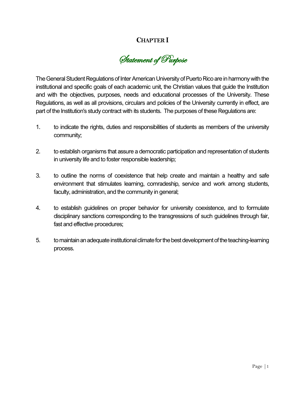# **CHAPTER I**

Statement of Purpose

The General Student Regulations of Inter American University of Puerto Rico are in harmony with the institutional and specific goals of each academic unit, the Christian values that guide the Institution and with the objectives, purposes, needs and educational processes of the University. These Regulations, as well as all provisions, circulars and policies of the University currently in effect, are part of the Institution's study contract with its students. The purposes of these Regulations are:

- 1. to indicate the rights, duties and responsibilities of students as members of the university community;
- 2. to establish organisms that assure a democratic participation and representation of students in university life and to foster responsible leadership;
- 3. to outline the norms of coexistence that help create and maintain a healthy and safe environment that stimulates learning, comradeship, service and work among students, faculty, administration, and the community in general;
- 4. to establish guidelines on proper behavior for university coexistence, and to formulate disciplinary sanctions corresponding to the transgressions of such guidelines through fair, fast and effective procedures;
- 5. to maintain an adequate institutional climate for the best development of the teaching-learning process.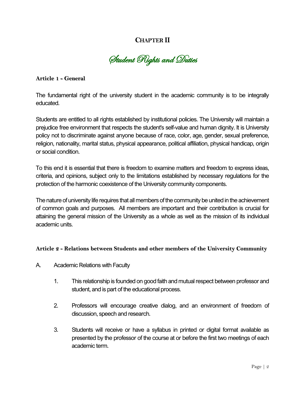# **CHAPTERII**

Student Rights and Duties

**Article 1 - General**

The fundamental right of the university student in the academic community is to be integrally educated.

Students are entitled to all rights established by institutional policies. The University will maintain a prejudice free environment that respects the student's self-value and human dignity. It is University policy not to discriminate against anyone because of race, color, age, gender, sexual preference, religion, nationality, marital status, physical appearance, political affiliation, physical handicap, origin or social condition.

To this end it is essential that there is freedom to examine matters and freedom to express ideas, criteria, and opinions, subject only to the limitations established by necessary regulations for the protection of the harmonic coexistence of the University community components.

The nature of university life requires that all members of the community be united in the achievement of common goals and purposes. All members are important and their contribution is crucial for attaining the general mission of the University as a whole as well as the mission of its individual academic units.

#### **Article 2 - Relations between Students and other members of the University Community**

- A. Academic Relations with Faculty
	- 1. This relationship is founded on good faith and mutual respect between professor and student, and is part of the educational process.
	- 2. Professors will encourage creative dialog, and an environment of freedom of discussion, speech and research.
	- 3. Students will receive or have a syllabus in printed or digital format available as presented by the professor of the course at or before the first two meetings of each academic term.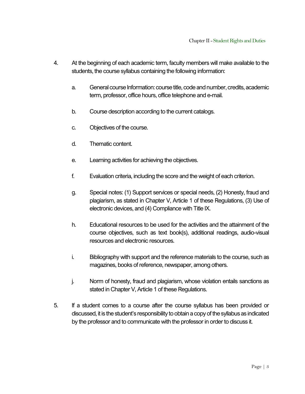- 4. At the beginning of each academic term, faculty members will make available to the students, the course syllabus containing the following information:
	- a. General course Information: course title, code and number, credits, academic term, professor, office hours, office telephone and e-mail.
	- b. Course description according to the current catalogs.
	- c. Objectives of the course.
	- d. Thematic content.
	- e. Learning activities for achieving the objectives.
	- f. Evaluation criteria, including the score and the weight of each criterion.
	- g. Special notes: (1) Support services or special needs, (2) Honesty, fraud and plagiarism, as stated in Chapter V, Article 1 of these Regulations, (3) Use of electronic devices, and (4) Compliance with Title IX.
	- h. Educational resources to be used for the activities and the attainment of the course objectives, such as text book(s), additional readings, audio-visual resources and electronic resources.
	- i. Bibliography with support and the reference materials to the course, such as magazines, books of reference, newspaper, among others.
	- j. Norm of honesty, fraud and plagiarism, whose violation entails sanctions as stated in Chapter V, Article 1 of these Regulations.
- 5. If a student comes to a course after the course syllabus has been provided or discussed, it is the student's responsibility to obtain a copy of the syllabus as indicated by the professor and to communicate with the professor in order to discuss it.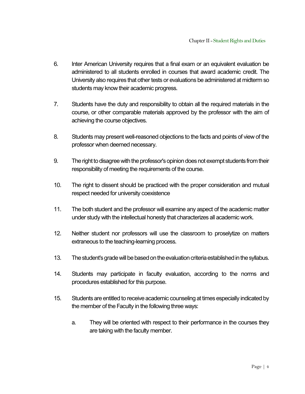- 6. Inter American University requires that a final exam or an equivalent evaluation be administered to all students enrolled in courses that award academic credit. The University also requires that other tests or evaluations be administered at midterm so students may know their academic progress.
- 7. Students have the duty and responsibility to obtain all the required materials in the course, or other comparable materials approved by the professor with the aim of achieving the course objectives.
- 8. Students may present well-reasoned objections to the facts and points of view of the professor when deemed necessary.
- 9. The right to disagree with the professor's opinion does not exempt students from their responsibility of meeting the requirements of the course.
- 10. The right to dissent should be practiced with the proper consideration and mutual respect needed for university coexistence
- 11. The both student and the professor will examine any aspect of the academic matter under study with the intellectual honesty that characterizes all academic work.
- 12. Neither student nor professors will use the classroom to proselytize on matters extraneous to the teaching-learning process.
- 13. The student's grade will be based on the evaluation criteria established in the syllabus.
- 14. Students may participate in faculty evaluation, according to the norms and procedures established for this purpose.
- 15. Students are entitled to receive academic counseling at times especially indicated by the member of the Faculty in the following three ways:
	- a. They will be oriented with respect to their performance in the courses they are taking with the faculty member.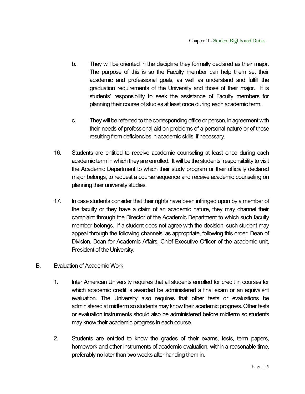- b. They will be oriented in the discipline they formally declared as their major. The purpose of this is so the Faculty member can help them set their academic and professional goals, as well as understand and fulfill the graduation requirements of the University and those of their major. It is students' responsibility to seek the assistance of Faculty members for planning their course of studies at least once during each academic term.
- c. Theywill be referred to the corresponding office or person, in agreement with their needs of professional aid on problems of a personal nature or of those resulting from deficiencies in academic skills, if necessary.
- 16. Students are entitled to receive academic counseling at least once during each academic term in which they are enrolled. It will be the students' responsibility to visit the Academic Department to which their study program or their officially declared major belongs, to request a course sequence and receive academic counseling on planning their university studies.
- 17. In case students consider that their rights have been infringed upon by a member of the faculty or they have a claim of an academic nature, they may channel their complaint through the Director of the Academic Department to which such faculty member belongs. If a student does not agree with the decision, such student may appeal through the following channels, as appropriate, following this order: Dean of Division, Dean for Academic Affairs, Chief Executive Officer of the academic unit, President of the University.
- B. Evaluation of Academic Work
	- 1. Inter American University requires that all students enrolled for credit in courses for which academic credit is awarded be administered a final exam or an equivalent evaluation. The University also requires that other tests or evaluations be administered at midterm so students may know their academic progress. Other tests or evaluation instruments should also be administered before midterm so students may know their academic progress in each course.
	- 2. Students are entitled to know the grades of their exams, tests, term papers, homework and other instruments of academic evaluation, within a reasonable time, preferably no later than two weeks after handing them in.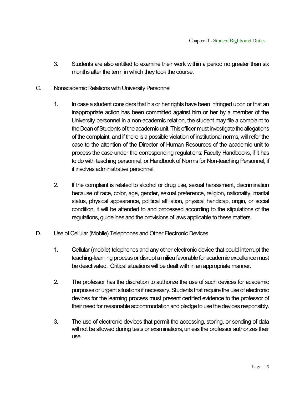- 3. Students are also entitled to examine their work within a period no greater than six months after the term in which they took the course.
- C. Nonacademic Relations with University Personnel
	- 1. In case a student considers that his or her rights have been infringed upon or that an inappropriate action has been committed against him or her by a member of the University personnel in a non-academic relation, the student may file a complaint to the Dean of Students of the academic unit. This officer must investigate the allegations of the complaint, and if there is a possible violation of institutional norms, will refer the case to the attention of the Director of Human Resources of the academic unit to process the case under the corresponding regulations: Faculty Handbooks, if it has to do with teaching personnel, or Handbook of Norms for Non-teaching Personnel, if it involves administrative personnel.
	- 2. If the complaint is related to alcohol or drug use, sexual harassment, discrimination because of race, color, age, gender, sexual preference, religion, nationality, marital status, physical appearance, political affiliation, physical handicap, origin, or social condition, it will be attended to and processed according to the stipulations of the regulations, guidelines and the provisions of laws applicable to these matters.
- D. Use of Cellular (Mobile) Telephones and Other Electronic Devices
	- 1. Cellular (mobile) telephones and any other electronic device that could interrupt the teaching-learning process or disrupt a milieu favorable for academic excellence must be deactivated. Critical situations will be dealt with in an appropriate manner.
	- 2. The professor has the discretion to authorize the use of such devices for academic purposes or urgent situations if necessary. Students that require the use of electronic devices for the learning process must present certified evidence to the professor of their need for reasonable accommodation and pledge to use the devices responsibly.
	- 3. The use of electronic devices that permit the accessing, storing, or sending of data will not be allowed during tests or examinations, unless the professor authorizes their use.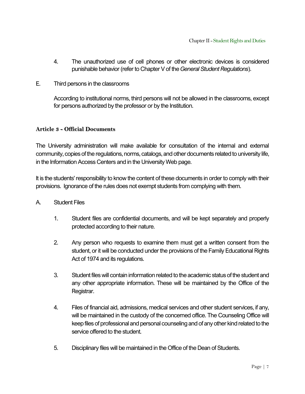- 4. The unauthorized use of cell phones or other electronic devices is considered punishable behavior (refer to Chapter V of the *General Student Regulations*).
- E. Third persons in the classrooms

According to institutional norms, third persons will not be allowed in the classrooms, except for persons authorized by the professor or by the Institution.

#### **Article 3 - Official Documents**

The University administration will make available for consultation of the internal and external community, copies of the regulations, norms, catalogs, and other documents related to university life, in the Information Access Centers and in the University Web page.

It is the students' responsibility to know the content of these documents in order to comply with their provisions. Ignorance of the rules does not exempt students from complying with them.

- A. Student Files
	- 1. Student files are confidential documents, and will be kept separately and properly protected according to their nature.
	- 2. Any person who requests to examine them must get a written consent from the student, or it will be conducted under the provisions of the Family Educational Rights Act of 1974 and its regulations.
	- 3. Student files will contain information related to the academic status of the student and any other appropriate information. These will be maintained by the Office of the Registrar.
	- 4. Files of financial aid, admissions, medical services and other student services, if any, will be maintained in the custody of the concerned office. The Counseling Office will keep files of professional and personal counseling and of any other kind related to the service offered to the student.
	- 5. Disciplinary files will be maintained in the Office of the Dean of Students.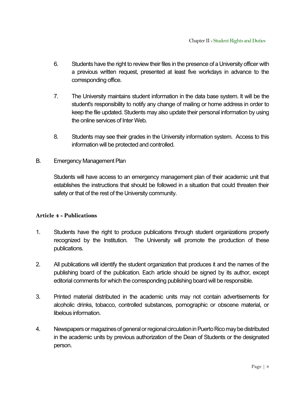- 6. Students have the right to review their files in the presence of a University officer with a previous written request, presented at least five workdays in advance to the corresponding office.
- 7. The University maintains student information in the data base system. It will be the student's responsibility to notify any change of mailing or home address in order to keep the file updated. Students may also update their personal information by using the online services of Inter Web.
- 8. Students may see their grades in the University information system. Access to this information will be protected and controlled.
- B. Emergency Management Plan

Students will have access to an emergency management plan of their academic unit that establishes the instructions that should be followed in a situation that could threaten their safety or that of the rest of the University community.

#### **Article 4 - Publications**

- 1. Students have the right to produce publications through student organizations properly recognized by the Institution. The University will promote the production of these publications.
- 2. All publications will identify the student organization that produces it and the names of the publishing board of the publication. Each article should be signed by its author, except editorial comments for which the corresponding publishing board will be responsible.
- 3. Printed material distributed in the academic units may not contain advertisements for alcoholic drinks, tobacco, controlled substances, pornographic or obscene material, or libelous information.
- 4. Newspapers ormagazines of general or regional circulation inPuerto Rico may be distributed in the academic units by previous authorization of the Dean of Students or the designated person.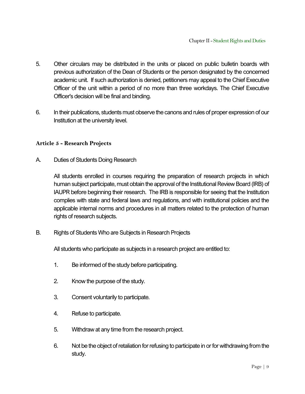- 5. Other circulars may be distributed in the units or placed on public bulletin boards with previous authorization of the Dean of Students or the person designated by the concerned academic unit. If such authorization is denied, petitioners may appeal to the Chief Executive Officer of the unit within a period of no more than three workdays. The Chief Executive Officer's decision will be final and binding.
- 6. In their publications, students must observe the canons and rules of proper expression of our Institution at the university level.

#### **Article 5 - Research Projects**

A. Duties of Students Doing Research

All students enrolled in courses requiring the preparation of research projects in which human subject participate, must obtain the approval of the Institutional Review Board (IRB) of IAUPR before beginning their research. The IRB is responsible for seeing that the Institution complies with state and federal laws and regulations, and with institutional policies and the applicable internal norms and procedures in all matters related to the protection of human rights of research subjects.

B. Rights of Students Who are Subjects in Research Projects

All students who participate as subjects in a research project are entitled to:

- 1. Be informed of the study before participating.
- 2. Know the purpose of the study.
- 3. Consent voluntarily to participate.
- 4. Refuse to participate.
- 5. Withdraw at any time from the research project.
- 6. Not be the object of retaliation for refusing to participate in or for withdrawing from the study.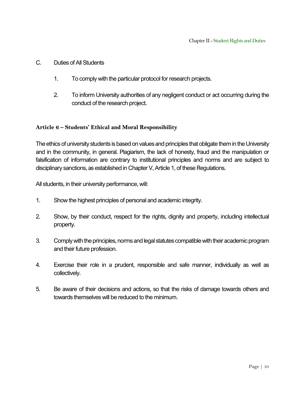#### C. Duties of All Students

- 1. To comply with the particular protocol for research projects.
- 2. To inform University authorities of any negligent conduct or act occurring during the conduct of the research project.

#### **Article 6 – Students' Ethical and Moral Responsibility**

The ethics of university students is based on values and principles that obligate them in the University and in the community, in general. Plagiarism, the lack of honesty, fraud and the manipulation or falsification of information are contrary to institutional principles and norms and are subject to disciplinary sanctions, as established in Chapter V, Article 1, of these Regulations.

All students, in their university performance, will:

- 1. Show the highest principles of personal and academic integrity.
- 2. Show, by their conduct, respect for the rights, dignity and property, including intellectual property.
- 3. Complywith the principles, norms and legal statutes compatible with their academic program and their future profession.
- 4. Exercise their role in a prudent, responsible and safe manner, individually as well as collectively.
- 5. Be aware of their decisions and actions, so that the risks of damage towards others and towards themselves will be reduced to the minimum.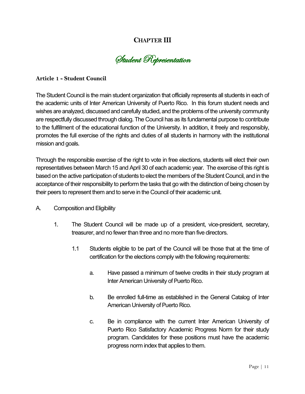# **CHAPTER III**

Student Representation

#### **Article 1 - Student Council**

The Student Council is the main student organization that officially represents all students in each of the academic units of Inter American University of Puerto Rico. In this forum student needs and wishes are analyzed, discussed and carefully studied, and the problems of the university community are respectfully discussed through dialog. The Council has as its fundamental purpose to contribute to the fulfillment of the educational function of the University. In addition, it freely and responsibly, promotes the full exercise of the rights and duties of all students in harmony with the institutional mission and goals.

Through the responsible exercise of the right to vote in free elections, students will elect their own representatives between March 15 and April 30 of each academic year. The exercise of this right is based on the active participation of students to elect the members of the Student Council, and in the acceptance of their responsibility to perform the tasks that go with the distinction of being chosen by their peers to represent them and to serve in the Council of their academic unit.

- A. Composition and Eligibility
	- 1. The Student Council will be made up of a president, vice-president, secretary, treasurer, and no fewer than three and no more than five directors.
		- 1.1 Students eligible to be part of the Council will be those that at the time of certification for the elections comply with the following requirements:
			- a. Have passed a minimum of twelve credits in their study program at Inter American University of Puerto Rico.
			- b. Be enrolled full-time as established in the General Catalog of Inter American University of Puerto Rico.
			- c. Be in compliance with the current Inter American University of Puerto Rico Satisfactory Academic Progress Norm for their study program. Candidates for these positions must have the academic progress norm index that applies to them.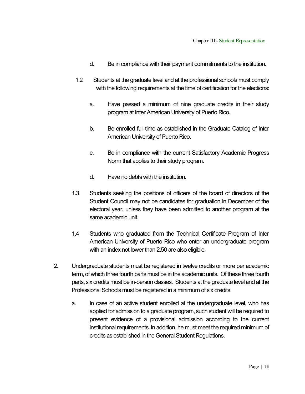- d. Be in compliance with their payment commitments to the institution.
- 1.2 Students at the graduate level and at the professional schools must comply with the following requirements at the time of certification for the elections:
	- a. Have passed a minimum of nine graduate credits in their study program at Inter American University of Puerto Rico.
	- b. Be enrolled full-time as established in the Graduate Catalog of Inter American University of Puerto Rico.
	- c. Be in compliance with the current Satisfactory Academic Progress Norm that applies to their study program.
	- d. Have no debts with the institution.
- 1.3 Students seeking the positions of officers of the board of directors of the Student Council may not be candidates for graduation in December of the electoral year, unless they have been admitted to another program at the same academic unit.
- 1.4 Students who graduated from the Technical Certificate Program of Inter American University of Puerto Rico who enter an undergraduate program with an index not lower than 2.50 are also eligible.
- 2. Undergraduate students must be registered in twelve credits or more per academic term, of which three fourth parts must be in the academic units. Of these three fourth parts, six credits must be in-person classes. Students at the graduate level and at the Professional Schools must be registered in a minimum of six credits.
	- a. In case of an active student enrolled at the undergraduate level, who has applied for admission to a graduate program, such student will be required to present evidence of a provisional admission according to the current institutional requirements. In addition, he must meet the required minimum of credits as established in the General Student Regulations.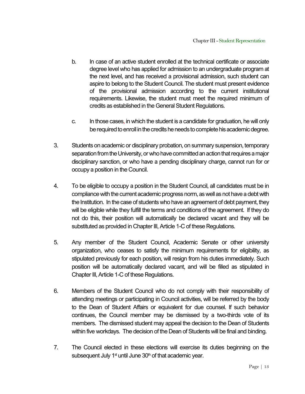- b. In case of an active student enrolled at the technical certificate or associate degree level who has applied for admission to an undergraduate program at the next level, and has received a provisional admission, such student can aspire to belong to the Student Council. The student must present evidence of the provisional admission according to the current institutional requirements. Likewise, the student must meet the required minimum of credits as established in the General Student Regulations.
- c. In those cases, in which the student is a candidate for graduation, he will only be required to enroll in the credits he needs to complete his academic degree.
- 3. Students on academic or disciplinary probation, on summary suspension, temporary separation from the University, or who have committed an action that requires a major disciplinary sanction, or who have a pending disciplinary charge, cannot run for or occupy a position in the Council.
- 4. To be eligible to occupy a position in the Student Council, all candidates must be in compliance with the current academic progress norm, as well as not have a debt with the Institution. In the case of students who have an agreement of debt payment, they will be eligible while they fulfill the terms and conditions of the agreement. If they do not do this, their position will automatically be declared vacant and they will be substituted as provided in Chapter III, Article 1-C of these Regulations.
- 5. Any member of the Student Council, Academic Senate or other university organization, who ceases to satisfy the minimum requirements for eligibility, as stipulated previously for each position, will resign from his duties immediately. Such position will be automatically declared vacant, and will be filled as stipulated in Chapter III, Article 1-C of these Regulations.
- 6. Members of the Student Council who do not comply with their responsibility of attending meetings or participating in Council activities, will be referred by the body to the Dean of Student Affairs or equivalent for due counsel. If such behavior continues, the Council member may be dismissed by a two-thirds vote of its members. The dismissed student may appeal the decision to the Dean of Students within five workdays. The decision of the Dean of Students will be final and binding.
- 7. The Council elected in these elections will exercise its duties beginning on the subsequent July 1 $st$  until June 30 $th$  of that academic year.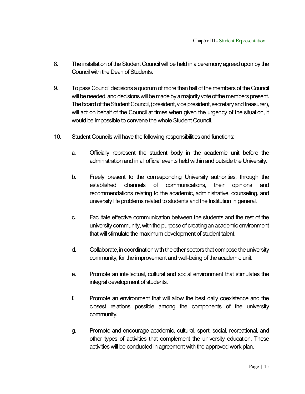- 8. The installation of the Student Council will be held in a ceremony agreed upon by the Council with the Dean of Students.
- 9. To pass Council decisions a quorum of more than half of the members of the Council will be needed, and decisions will be made by a majority vote of the members present. The board of the Student Council, (president, vice president, secretary and treasurer), will act on behalf of the Council at times when given the urgency of the situation, it would be impossible to convene the whole Student Council.
- 10. Student Councils will have the following responsibilities and functions:
	- a. Officially represent the student body in the academic unit before the administration and in all official events held within and outside the University.
	- b. Freely present to the corresponding University authorities, through the established channels of communications, their opinions and recommendations relating to the academic, administrative, counseling, and university life problems related to students and the Institution in general.
	- c. Facilitate effective communication between the students and the rest of the university community, with the purpose of creating an academic environment that will stimulate the maximum development of student talent.
	- d. Collaborate, in coordination with the other sectors that compose the university community, for the improvement and well-being of the academic unit.
	- e. Promote an intellectual, cultural and social environment that stimulates the integral development of students.
	- f. Promote an environment that will allow the best daily coexistence and the closest relations possible among the components of the university community.
	- g. Promote and encourage academic, cultural, sport, social, recreational, and other types of activities that complement the university education. These activities will be conducted in agreement with the approved work plan.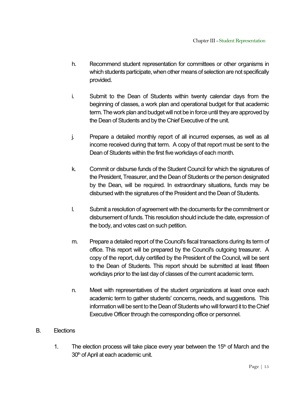- h. Recommend student representation for committees or other organisms in which students participate, when other means of selection are not specifically provided.
- i. Submit to the Dean of Students within twenty calendar days from the beginning of classes, a work plan and operational budget for that academic term. The work plan and budget will not be in force until they are approved by the Dean of Students and by the Chief Executive of the unit.
- j. Prepare a detailed monthly report of all incurred expenses, as well as all income received during that term. A copy of that report must be sent to the Dean of Students within the first five workdays of each month.
- k. Commit or disburse funds of the Student Council for which the signatures of the President, Treasurer, and the Dean of Students or the person designated by the Dean, will be required. In extraordinary situations, funds may be disbursed with the signatures of the President and the Dean of Students.
- l. Submit a resolution of agreement with the documents for the commitment or disbursement of funds. This resolution should include the date, expression of the body, and votes cast on such petition.
- m. Prepare a detailed report of the Council's fiscal transactions during its term of office. This report will be prepared by the Council's outgoing treasurer. A copy of the report, duly certified by the President of the Council, will be sent to the Dean of Students. This report should be submitted at least fifteen workdays prior to the last day of classes of the current academic term.
- n. Meet with representatives of the student organizations at least once each academic term to gather students' concerns, needs, and suggestions. This information will be sent to the Dean of Students who will forward it to the Chief Executive Officer through the corresponding office or personnel.

#### B. Elections

1. The election process will take place every year between the  $15<sup>th</sup>$  of March and the 30<sup>th</sup> of April at each academic unit.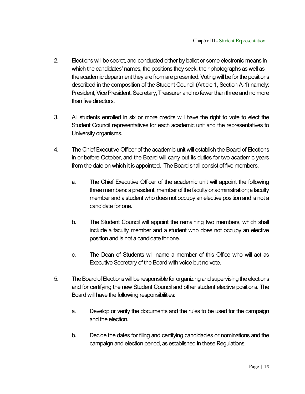- 2. Elections will be secret, and conducted either by ballot or some electronic means in which the candidates' names, the positions they seek, their photographs as well as the academic department they are from are presented. Voting will be for the positions described in the composition of the Student Council (Article 1, Section A-1) namely: President, Vice President, Secretary, Treasurer and no fewer than three and no more than five directors.
- 3. All students enrolled in six or more credits will have the right to vote to elect the Student Council representatives for each academic unit and the representatives to University organisms.
- 4. The Chief Executive Officer of the academic unit will establish the Board of Elections in or before October, and the Board will carry out its duties for two academic years from the date on which it is appointed. The Board shall consist of five members.
	- a. The Chief Executive Officer of the academic unit will appoint the following three members: a president, member of the faculty or administration; a faculty member and a student who does not occupy an elective position and is not a candidate for one.
	- b. The Student Council will appoint the remaining two members, which shall include a faculty member and a student who does not occupy an elective position and is not a candidate for one.
	- c. The Dean of Students will name a member of this Office who will act as Executive Secretary of the Board with voice but no vote.
- 5. The Board of Elections will be responsible for organizing and supervising the elections and for certifying the new Student Council and other student elective positions. The Board will have the following responsibilities:
	- a. Develop or verify the documents and the rules to be used for the campaign and the election.
	- b. Decide the dates for filing and certifying candidacies or nominations and the campaign and election period, as established in these Regulations.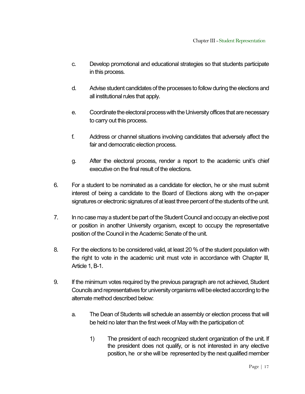- c. Develop promotional and educational strategies so that students participate in this process.
- d. Advise student candidates of the processes to follow during the elections and all institutional rules that apply.
- e. Coordinate the electoral process with the University offices that arenecessary to carry out this process.
- f. Address or channel situations involving candidates that adversely affect the fair and democratic election process.
- g. After the electoral process, render a report to the academic unit's chief executive on the final result of the elections.
- 6. For a student to be nominated as a candidate for election, he or she must submit interest of being a candidate to the Board of Elections along with the on-paper signatures or electronic signatures of at least three percent of the students of the unit.
- 7. In no case may a student be part of the Student Council and occupy an elective post or position in another University organism, except to occupy the representative position of the Council in the Academic Senate of the unit.
- 8. For the elections to be considered valid, at least 20 % of the student population with the right to vote in the academic unit must vote in accordance with Chapter III, Article 1, B-1.
- 9. If the minimum votes required by the previous paragraph are not achieved, Student Councils and representatives for university organisms will be elected according to the alternate method described below:
	- a. The Dean of Students will schedule an assembly or election process that will be held no later than the first week of May with the participation of:
		- 1) The president of each recognized student organization of the unit. If the president does not qualify, or is not interested in any elective position, he or she will be represented by the next qualified member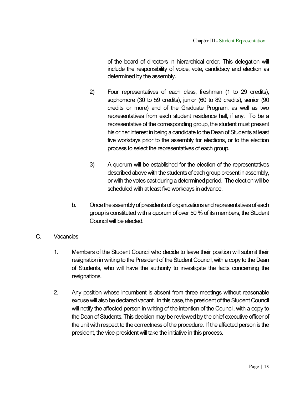of the board of directors in hierarchical order. This delegation will include the responsibility of voice, vote, candidacy and election as determined by the assembly.

- 2) Four representatives of each class, freshman (1 to 29 credits), sophomore (30 to 59 credits), junior (60 to 89 credits), senior (90 credits or more) and of the Graduate Program, as well as two representatives from each student residence hall, if any. To be a representative of the corresponding group, the student must present his or her interest in being a candidate to the Dean of Students at least five workdays prior to the assembly for elections, or to the election process to select the representatives of each group.
- 3) A quorum will be established for the election of the representatives described above with the students of each group present in assembly, or with the votes cast during a determined period. The election will be scheduled with at least five workdays in advance.
- b. Once the assembly of presidents of organizations and representatives of each group is constituted with a quorum of over 50 % of its members, the Student Council will be elected.
- C. Vacancies
	- 1. Members of the Student Council who decide to leave their position will submit their resignation in writing to the President of the Student Council, with a copy to the Dean of Students, who will have the authority to investigate the facts concerning the resignations.
	- 2. Any position whose incumbent is absent from three meetings without reasonable excuse will also be declared vacant. In this case, the president of the Student Council will notify the affected person in writing of the intention of the Council, with a copy to the Dean of Students. This decision may be reviewed by the chief executive officer of the unit with respect to the correctness of the procedure. If the affected person is the president, the vice-president will take the initiative in this process.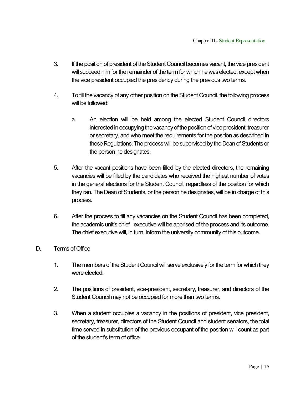- 3. If the position of president of the Student Council becomes vacant, the vice president will succeed him for the remainder of the term for which he was elected, except when the vice president occupied the presidency during the previous two terms.
- 4. To fill the vacancy of any other position on the Student Council, the following process will be followed:
	- a. An election will be held among the elected Student Council directors interested in occupying the vacancy of the position of vice president, treasurer or secretary, and who meet the requirements for the position as described in these Regulations.The process will be supervised by the Dean of Students or the person he designates.
- 5. After the vacant positions have been filled by the elected directors, the remaining vacancies will be filled by the candidates who received the highest number of votes in the general elections for the Student Council, regardless of the position for which they ran. The Dean of Students, or the person he designates, will be in charge of this process.
- 6. After the process to fill any vacancies on the Student Council has been completed, the academic unit's chief executive will be apprised of the process and its outcome. The chief executive will, in turn, inform the university community of this outcome.
- D. Terms of Office
	- 1. The members of the Student Council will serve exclusively for the term for which they were elected.
	- 2. The positions of president, vice-president, secretary, treasurer, and directors of the Student Council may not be occupied for more than two terms.
	- 3. When a student occupies a vacancy in the positions of president, vice president, secretary, treasurer, directors of the Student Council and student senators, the total time served in substitution of the previous occupant of the position will count as part of the student's term of office.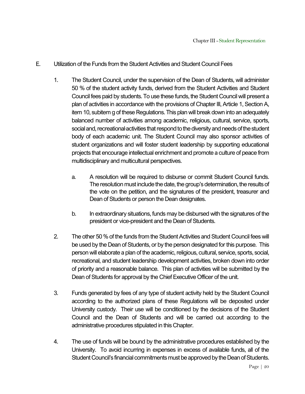- E. Utilization of the Funds from the Student Activities and Student Council Fees
	- 1. The Student Council, under the supervision of the Dean of Students, will administer 50 % of the student activity funds, derived from the Student Activities and Student Council fees paid by students. To use these funds, the Student Council will present a plan of activities in accordance with the provisions of Chapter III, Article 1, Section A, item 10, subitem g of these Regulations. This plan will break down into an adequately balanced number of activities among academic, religious, cultural, service, sports, social and, recreational activities that respond to the diversity and needs of the student body of each academic unit. The Student Council may also sponsor activities of student organizations and will foster student leadership by supporting educational projects that encourage intellectual enrichment and promote a culture of peace from multidisciplinary and multicultural perspectives.
		- a. A resolution will be required to disburse or commit Student Council funds. The resolution must include the date, the group's determination, the results of the vote on the petition, and the signatures of the president, treasurer and Dean of Students or person the Dean designates.
		- b. In extraordinary situations, funds may be disbursed with the signatures of the president or vice-president and the Dean of Students.
	- 2. The other 50 % of the funds from the Student Activities and Student Council fees will be used by the Dean of Students, or by the person designated for this purpose. This person will elaborate a plan of the academic, religious, cultural, service, sports, social, recreational, and student leadership development activities, broken down into order of priority and a reasonable balance. This plan of activities will be submitted by the Dean of Students for approval by the Chief Executive Officer of the unit.
	- 3. Funds generated by fees of any type of student activity held by the Student Council according to the authorized plans of these Regulations will be deposited under University custody. Their use will be conditioned by the decisions of the Student Council and the Dean of Students and will be carried out according to the administrative procedures stipulated in this Chapter.
	- 4. The use of funds will be bound by the administrative procedures established by the University. To avoid incurring in expenses in excess of available funds, all of the Student Council's financial commitments must be approved by the Dean of Students.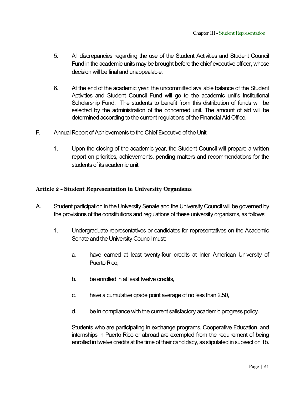- 5. All discrepancies regarding the use of the Student Activities and Student Council Fund in the academic units may be brought before the chief executive officer, whose decision will be final and unappealable.
- 6. At the end of the academic year, the uncommitted available balance of the Student Activities and Student Council Fund will go to the academic unit's Institutional Scholarship Fund. The students to benefit from this distribution of funds will be selected by the administration of the concerned unit. The amount of aid will be determined according to the current regulations of the Financial Aid Office.
- F. Annual Report of Achievements to the Chief Executive of the Unit
	- 1. Upon the closing of the academic year, the Student Council will prepare a written report on priorities, achievements, pending matters and recommendations for the students of its academic unit.

#### **Article 2 - Student Representation in University Organisms**

- A. Student participation in the University Senate and the University Council will be governed by the provisions of the constitutions and regulations of these university organisms, as follows:
	- 1. Undergraduate representatives or candidates for representatives on the Academic Senate and the University Council must:
		- a. have earned at least twenty-four credits at Inter American University of Puerto Rico,
		- b. be enrolled in at least twelve credits,
		- c. have a cumulative grade point average of no less than 2.50,
		- d. be in compliance with the current satisfactory academic progress policy.

Students who are participating in exchange programs, Cooperative Education, and internships in Puerto Rico or abroad are exempted from the requirement of being enrolled in twelve credits at the time of their candidacy, as stipulated in subsection 1b.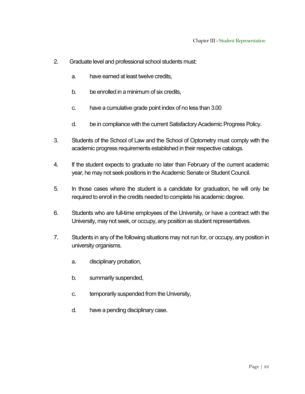- 2. Graduate level and professional school students must:
	- a. have earned at least twelve credits,
	- b. be enrolled in a minimum of six credits,
	- c. have a cumulative grade point index of no less than 3.00
	- d. be in compliance with the current Satisfactory Academic Progress Policy.
- 3. Students of the School of Law and the School of Optometry must comply with the academic progress requirements established in their respective catalogs.
- 4. If the student expects to graduate no later than February of the current academic year, he may not seek positions in the Academic Senate or Student Council.
- 5. In those cases where the student is a candidate for graduation, he will only be required to enroll in the credits needed to complete his academic degree.
- 6. Students who are full-time employees of the University, or have a contract with the University, may not seek, or occupy, any position as student representatives.
- 7. Students in any of the following situations may not run for, or occupy, any position in university organisms.
	- a. disciplinary probation,
	- b. summarily suspended,
	- c. temporarily suspended from the University,
	- d. have a pending disciplinary case.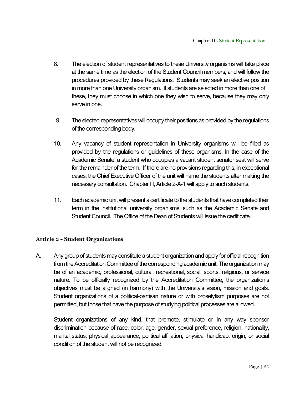- 8. The election of student representatives to these University organisms will take place at the same time as the election of the Student Council members, and will follow the procedures provided by these Regulations. Students may seek an elective position in more than one University organism. If students are selected in more than one of these, they must choose in which one they wish to serve, because they may only serve in one.
- 9. The elected representatives will occupy their positions as provided by the regulations of the corresponding body.
- 10. Any vacancy of student representation in University organisms will be filled as provided by the regulations or guidelines of these organisms. In the case of the Academic Senate, a student who occupies a vacant student senator seat will serve for the remainder of the term. If there are no provisions regarding this, in exceptional cases, the Chief Executive Officer of the unit will name the students after making the necessary consultation. Chapter III, Article 2-A-1 will apply to such students.
- 11. Each academic unit will present a certificate to the students that have completed their term in the institutional university organisms, such as the Academic Senate and Student Council. The Office of the Dean of Students will issue the certificate.

#### **Article 3 - Student Organizations**

A. Any group of students may constitute a student organization and apply for official recognition from the Accreditation Committee of the corresponding academic unit. The organization may be of an academic, professional, cultural, recreational, social, sports, religious, or service nature. To be officially recognized by the Accreditation Committee, the organization's objectives must be aligned (in harmony) with the University's vision, mission and goals. Student organizations of a political-partisan nature or with proselytism purposes are not permitted, but those that have the purpose of studying political processes are allowed.

Student organizations of any kind, that promote, stimulate or in any way sponsor discrimination because of race, color, age, gender, sexual preference, religion, nationality, marital status, physical appearance, political affiliation, physical handicap, origin, or social condition of the student will not be recognized.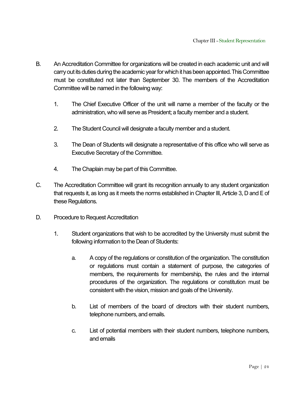- B. An Accreditation Committee for organizations will be created in each academic unit and will carry out its duties during the academic year for which it has been appointed. This Committee must be constituted not later than September 30. The members of the Accreditation Committee will be named in the following way:
	- 1. The Chief Executive Officer of the unit will name a member of the faculty or the administration, who will serve as President; a faculty member and a student.
	- 2. The Student Council will designate a faculty member and a student.
	- 3. The Dean of Students will designate a representative of this office who will serve as Executive Secretary of the Committee.
	- 4. The Chaplain may be part of this Committee.
- C. The Accreditation Committee will grant its recognition annually to any student organization that requests it, as long as it meets the norms established in Chapter III, Article 3, D and E of these Regulations.
- D. Procedure to Request Accreditation
	- 1. Student organizations that wish to be accredited by the University must submit the following information to the Dean of Students:
		- a. A copy of the regulations or constitution of the organization. The constitution or regulations must contain a statement of purpose, the categories of members, the requirements for membership, the rules and the internal procedures of the organization. The regulations or constitution must be consistent with the vision, mission and goals of the University.
		- b. List of members of the board of directors with their student numbers, telephone numbers, and emails.
		- c. List of potential members with their student numbers, telephone numbers, and emails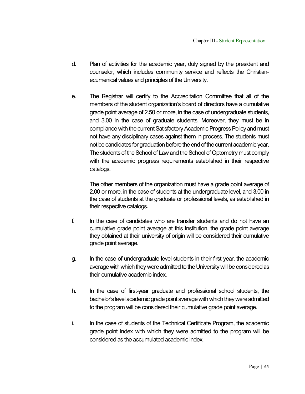- d. Plan of activities for the academic year, duly signed by the president and counselor, which includes community service and reflects the Christianecumenical values and principles of the University.
- e. The Registrar will certify to the Accreditation Committee that all of the members of the student organization's board of directors have a cumulative grade point average of 2.50 or more, in the case of undergraduate students, and 3.00 in the case of graduate students. Moreover, they must be in compliance with the current Satisfactory Academic Progress Policy and must not have any disciplinary cases against them in process. The students must not be candidates for graduation before the end of the current academic year. The students of the School of Law and the School of Optometry must comply with the academic progress requirements established in their respective catalogs.

The other members of the organization must have a grade point average of 2.00 or more, in the case of students at the undergraduate level, and 3.00 in the case of students at the graduate or professional levels, as established in their respective catalogs.

- f. In the case of candidates who are transfer students and do not have an cumulative grade point average at this Institution, the grade point average they obtained at their university of origin will be considered their cumulative grade point average.
- g. In the case of undergraduate level students in their first year, the academic average with which they were admitted to the University will be considered as their cumulative academic index.
- h. In the case of first-year graduate and professional school students, the bachelor's level academic grade point average with which they were admitted to the program will be considered their cumulative grade point average.
- i. In the case of students of the Technical Certificate Program, the academic grade point index with which they were admitted to the program will be considered as the accumulated academic index.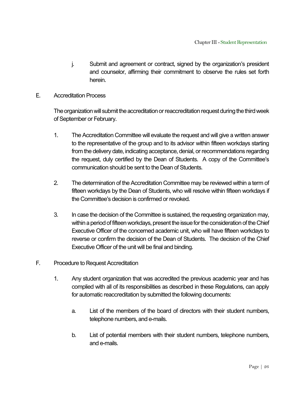- j. Submit and agreement or contract, signed by the organization's president and counselor, affirming their commitment to observe the rules set forth herein.
- E. Accreditation Process

The organization will submit the accreditation or reaccreditation request during the thirdweek of September or February.

- 1. The Accreditation Committee will evaluate the request and will give a written answer to the representative of the group and to its advisor within fifteen workdays starting from the delivery date, indicating acceptance, denial, or recommendations regarding the request, duly certified by the Dean of Students. A copy of the Committee's communication should be sent to the Dean of Students.
- 2. The determination of the Accreditation Committee may be reviewed within a term of fifteen workdays by the Dean of Students, who will resolve within fifteen workdays if the Committee's decision is confirmed or revoked.
- 3. In case the decision of the Committee is sustained, the requesting organization may, within a period of fifteenworkdays, present the issue for the consideration of the Chief Executive Officer of the concerned academic unit, who will have fifteen workdays to reverse or confirm the decision of the Dean of Students. The decision of the Chief Executive Officer of the unit will be final and binding.
- F. Procedure to Request Accreditation
	- 1. Any student organization that was accredited the previous academic year and has complied with all of its responsibilities as described in these Regulations, can apply for automatic reaccreditation by submitted the following documents:
		- a. List of the members of the board of directors with their student numbers, telephone numbers, and e-mails.
		- b. List of potential members with their student numbers, telephone numbers, and e-mails.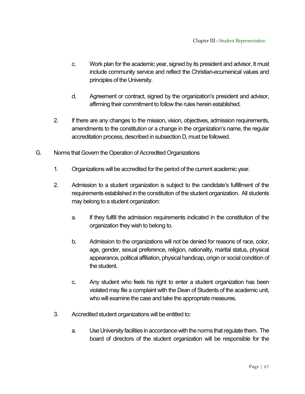- c. Work plan for the academic year, signed by its president and advisor. It must include community service and reflect the Christian-ecumenical values and principles of the University.
- d. Agreement or contract, signed by the organization's president and advisor, affirming their commitment to follow the rules herein established.
- 2. If there are any changes to the mission, vision, objectives, admission requirements, amendments to the constitution or a change in the organization's name, the regular accreditation process, described in subsection D, must be followed.
- G. Norms that Govern the Operation of Accredited Organizations
	- 1. Organizations will be accredited for the period of the current academic year.
	- 2. Admission to a student organization is subject to the candidate's fulfillment of the requirements established in the constitution of the student organization. All students may belong to a student organization:
		- a. If they fulfill the admission requirements indicated in the constitution of the organization they wish to belong to.
		- b. Admission to the organizations will not be denied for reasons of race, color, age, gender, sexual preference, religion, nationality, marital status, physical appearance, political affiliation, physical handicap, origin or social condition of the student.
		- c. Any student who feels his right to enter a student organization has been violated may file a complaint with the Dean of Students of the academic unit, who will examine the case and take the appropriate measures.
	- 3. Accredited student organizations will be entitled to:
		- a. Use University facilities in accordance with the norms that regulate them. The board of directors of the student organization will be responsible for the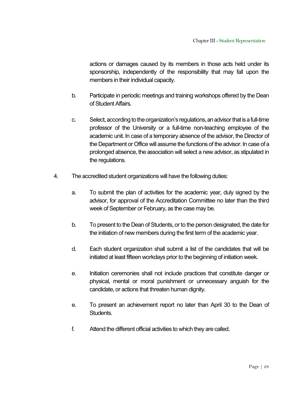actions or damages caused by its members in those acts held under its sponsorship, independently of the responsibility that may fall upon the members in their individual capacity.

- b. Participate in periodic meetings and training workshops offered by the Dean of Student Affairs.
- c. Select, according to the organization's regulations, anadvisor that is a full-time professor of the University or a full-time non-teaching employee of the academic unit. In case of a temporary absence of the advisor, the Director of the Department or Office will assume the functions of the advisor. In case of a prolonged absence, the association will select a new advisor, as stipulated in the regulations.
- 4. The accredited student organizations will have the following duties:
	- a. To submit the plan of activities for the academic year, duly signed by the advisor, for approval of the Accreditation Committee no later than the third week of September or February, as the case may be.
	- b. To present to the Dean of Students, or to the person designated, the date for the initiation of new members during the first term of the academic year.
	- d. Each student organization shall submit a list of the candidates that will be initiated at least fifteen workdays prior to the beginning of initiation week.
	- e. Initiation ceremonies shall not include practices that constitute danger or physical, mental or moral punishment or unnecessary anguish for the candidate, or actions that threaten human dignity.
	- e. To present an achievement report no later than April 30 to the Dean of Students.
	- f. Attend the different official activities to which they are called.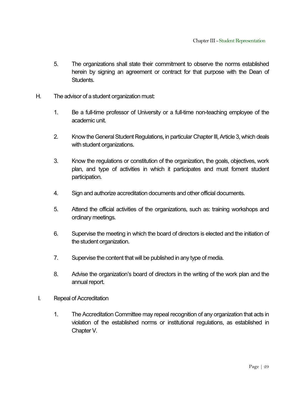- 5. The organizations shall state their commitment to observe the norms established herein by signing an agreement or contract for that purpose with the Dean of Students.
- H. The advisor of a student organization must:
	- 1. Be a full-time professor of University or a full-time non-teaching employee of the academic unit.
	- 2. Know the General Student Regulations, in particular Chapter III, Article 3, which deals with student organizations.
	- 3. Know the regulations or constitution of the organization, the goals, objectives, work plan, and type of activities in which it participates and must foment student participation.
	- 4. Sign and authorize accreditation documents and other official documents.
	- 5. Attend the official activities of the organizations, such as: training workshops and ordinary meetings.
	- 6. Supervise the meeting in which the board of directors is elected and the initiation of the student organization.
	- 7. Supervise the content that will be published in any type of media.
	- 8. Advise the organization's board of directors in the writing of the work plan and the annual report.
- I. Repeal of Accreditation
	- 1. The Accreditation Committee may repeal recognition of any organization that acts in violation of the established norms or institutional regulations, as established in Chapter V.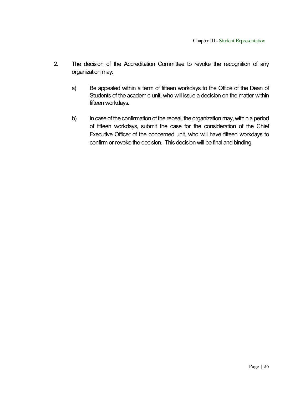- 2. The decision of the Accreditation Committee to revoke the recognition of any organization may:
	- a) Be appealed within a term of fifteen workdays to the Office of the Dean of Students of the academic unit, who will issue a decision on the matter within fifteen workdays.
	- b) In case of the confirmation of the repeal, the organization may, within a period of fifteen workdays, submit the case for the consideration of the Chief Executive Officer of the concerned unit, who will have fifteen workdays to confirm or revoke the decision. This decision will be final and binding.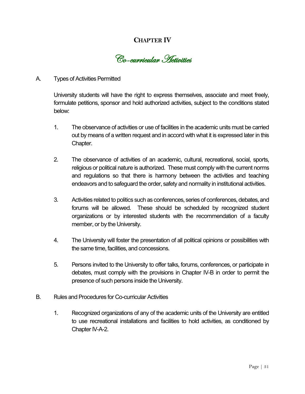# **CHAPTER IV**

Co-curricular Activities

#### A. Types of Activities Permitted

University students will have the right to express themselves, associate and meet freely, formulate petitions, sponsor and hold authorized activities, subject to the conditions stated below:

- 1. The observance of activities or use of facilities in the academic units must be carried out by means of a written request and in accord with what it is expressed later in this Chapter.
- 2. The observance of activities of an academic, cultural, recreational, social, sports, religious or political nature is authorized. These must comply with the current norms and regulations so that there is harmony between the activities and teaching endeavors and to safeguard the order, safety and normality in institutional activities.
- 3. Activities related to politics such as conferences, series of conferences, debates, and forums will be allowed. These should be scheduled by recognized student organizations or by interested students with the recommendation of a faculty member, or by the University.
- 4. The University will foster the presentation of all political opinions or possibilities with the same time, facilities, and concessions.
- 5. Persons invited to the University to offer talks, forums, conferences, or participate in debates, must comply with the provisions in Chapter IV-B in order to permit the presence of such persons inside the University.
- B. Rules and Procedures for Co-curricular Activities
	- 1. Recognized organizations of any of the academic units of the University are entitled to use recreational installations and facilities to hold activities, as conditioned by Chapter IV-A-2.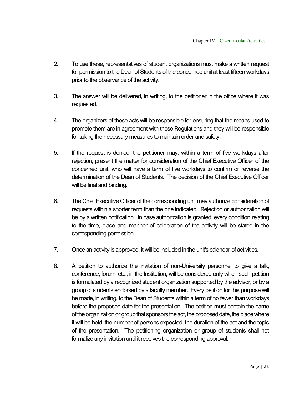- 2. To use these, representatives of student organizations must make a written request for permission to the Dean of Students of the concerned unit at least fifteen workdays prior to the observance of the activity.
- 3. The answer will be delivered, in writing, to the petitioner in the office where it was requested.
- 4. The organizers of these acts will be responsible for ensuring that the means used to promote them are in agreement with these Regulations and they will be responsible for taking the necessary measures to maintain order and safety.
- 5. If the request is denied, the petitioner may, within a term of five workdays after rejection, present the matter for consideration of the Chief Executive Officer of the concerned unit, who will have a term of five workdays to confirm or reverse the determination of the Dean of Students. The decision of the Chief Executive Officer will be final and binding.
- 6. The Chief Executive Officer of the corresponding unit may authorize consideration of requests within a shorter term than the one indicated. Rejection or authorization will be by a written notification. In case authorization is granted, every condition relating to the time, place and manner of celebration of the activity will be stated in the corresponding permission.
- 7. Once an activity is approved, it will be included in the unit's calendar of activities.
- 8. A petition to authorize the invitation of non-University personnel to give a talk, conference, forum, etc., in the Institution, will be considered only when such petition is formulated by a recognized student organization supported by the advisor, or by a group of students endorsed by a faculty member. Every petition for this purpose will be made, in writing, to the Dean of Students within a term of no fewer than workdays before the proposed date for the presentation. The petition must contain the name of the organization or group that sponsors the act, the proposed date, the place where it will be held, the number of persons expected, the duration of the act and the topic of the presentation. The petitioning organization or group of students shall not formalize any invitation until it receives the corresponding approval.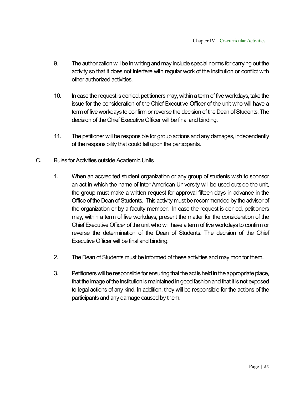- 9. The authorization will be in writing and may include special norms for carrying out the activity so that it does not interfere with regular work of the Institution or conflict with other authorized activities.
- 10. In case the request is denied, petitioners may, within a term of five workdays, take the issue for the consideration of the Chief Executive Officer of the unit who will have a term of five workdays to confirm or reverse the decision of the Dean of Students. The decision of the Chief Executive Officer will be final and binding.
- 11. The petitioner will be responsible for group actions and any damages, independently of the responsibility that could fall upon the participants.
- C. Rules for Activities outside Academic Units
	- 1. When an accredited student organization or any group of students wish to sponsor an act in which the name of Inter American University will be used outside the unit, the group must make a written request for approval fifteen days in advance in the Office of the Dean of Students. This activity must be recommended by the advisor of the organization or by a faculty member. In case the request is denied, petitioners may, within a term of five workdays, present the matter for the consideration of the Chief Executive Officer of the unit who will have a term of five workdays to confirm or reverse the determination of the Dean of Students. The decision of the Chief Executive Officer will be final and binding.
	- 2. The Dean of Students must be informed of these activities and may monitor them.
	- 3. Petitioners will be responsible for ensuring that the act is held in the appropriate place, that the image of the Institution is maintained in good fashion and that it is not exposed to legal actions of any kind. In addition, they will be responsible for the actions of the participants and any damage caused by them.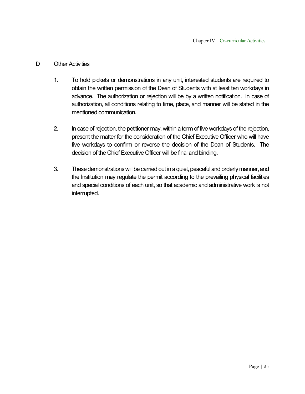#### D Other Activities

- 1. To hold pickets or demonstrations in any unit, interested students are required to obtain the written permission of the Dean of Students with at least ten workdays in advance. The authorization or rejection will be by a written notification. In case of authorization, all conditions relating to time, place, and manner will be stated in the mentioned communication.
- 2. In case of rejection, the petitioner may, within a term of five workdays of the rejection, present the matter for the consideration of the Chief Executive Officer who will have five workdays to confirm or reverse the decision of the Dean of Students. The decision of the Chief Executive Officer will be final and binding.
- 3. These demonstrations will be carried out in a quiet, peaceful and orderly manner, and the Institution may regulate the permit according to the prevailing physical facilities and special conditions of each unit, so that academic and administrative work is not interrupted.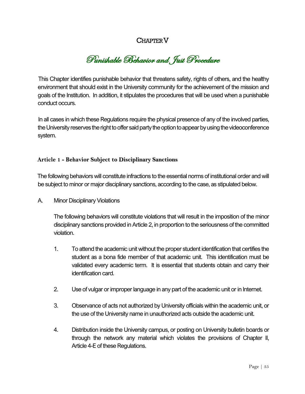# CHAPTERV

Punishable Behavior and Just Procedure

This Chapter identifies punishable behavior that threatens safety, rights of others, and the healthy environment that should exist in the University community for the achievement of the mission and goals of the Institution. In addition, it stipulates the procedures that will be used when a punishable conduct occurs.

In all cases in which these Regulations require the physical presence of any of the involved parties, the University reserves the right to offer said party the option to appear by using the videoconference system.

#### **Article 1 - Behavior Subject to Disciplinary Sanctions**

The following behaviors will constitute infractions to the essential norms of institutional order and will be subject to minor or major disciplinary sanctions, according to the case, as stipulated below.

A. Minor Disciplinary Violations

The following behaviors will constitute violations that will result in the imposition of the minor disciplinary sanctions provided in Article 2, in proportion to the seriousness of the committed violation.

- 1. To attend the academic unit without the proper student identification that certifies the student as a bona fide member of that academic unit. This identification must be validated every academic term. It is essential that students obtain and carry their identification card.
- 2. Use of vulgar or improper language in any part of the academic unit or in Internet.
- 3. Observance of acts not authorized by University officials within the academic unit, or the use of the University name in unauthorized acts outside the academic unit.
- 4. Distribution inside the University campus, or posting on University bulletin boards or through the network any material which violates the provisions of Chapter II, Article 4-E of these Regulations.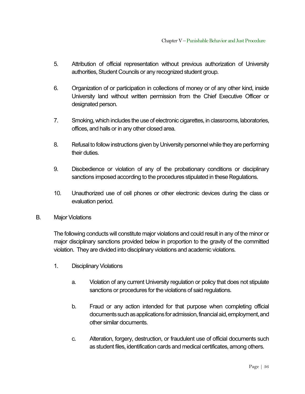- 5. Attribution of official representation without previous authorization of University authorities, Student Councils or any recognized student group.
- 6. Organization of or participation in collections of money or of any other kind, inside University land without written permission from the Chief Executive Officer or designated person.
- 7. Smoking, which includes the use of electronic cigarettes, in classrooms, laboratories, offices, and halls or in any other closed area.
- 8. Refusal to follow instructions given by University personnel while they are performing their duties.
- 9. Disobedience or violation of any of the probationary conditions or disciplinary sanctions imposed according to the procedures stipulated in these Regulations.
- 10. Unauthorized use of cell phones or other electronic devices during the class or evaluation period.
- B. Major Violations

The following conducts will constitute major violations and could result in any of the minor or major disciplinary sanctions provided below in proportion to the gravity of the committed violation. They are divided into disciplinary violations and academic violations.

- 1. Disciplinary Violations
	- a. Violation of any current University regulation or policy that does not stipulate sanctions or procedures for the violations of said regulations.
	- b. Fraud or any action intended for that purpose when completing official documents such as applications for admission, financial aid, employment, and other similar documents.
	- c. Alteration, forgery, destruction, or fraudulent use of official documents such as student files, identification cards and medical certificates, among others.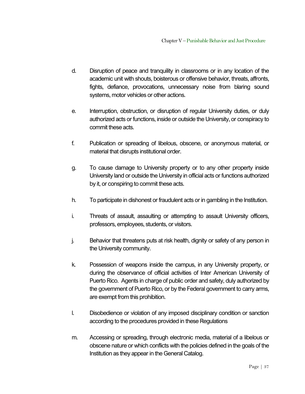- d. Disruption of peace and tranquility in classrooms or in any location of the academic unit with shouts, boisterous or offensive behavior, threats, affronts, fights, defiance, provocations, unnecessary noise from blaring sound systems, motor vehicles or other actions.
- e. Interruption, obstruction, or disruption of regular University duties, or duly authorized acts or functions, inside or outside the University, or conspiracy to commit these acts.
- f. Publication or spreading of libelous, obscene, or anonymous material, or material that disrupts institutional order.
- g. To cause damage to University property or to any other property inside University land or outside the University in official acts or functions authorized by it, or conspiring to commit these acts.
- h. To participate in dishonest or fraudulent acts or in gambling in the Institution.
- i. Threats of assault, assaulting or attempting to assault University officers, professors, employees, students, or visitors.
- j. Behavior that threatens puts at risk health, dignity or safety of any person in the University community.
- k. Possession of weapons inside the campus, in any University property, or during the observance of official activities of Inter American University of Puerto Rico. Agents in charge of public order and safety, duly authorized by the government of Puerto Rico, or by the Federal government to carry arms, are exempt from this prohibition.
- l. Disobedience or violation of any imposed disciplinary condition or sanction according to the procedures provided in these Regulations
- m. Accessing or spreading, through electronic media, material of a libelous or obscene nature or which conflicts with the policies defined in the goals of the Institution as they appear in the General Catalog.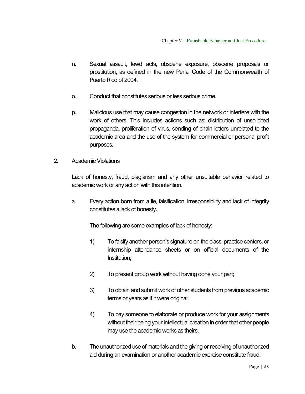- n. Sexual assault, lewd acts, obscene exposure, obscene proposals or prostitution, as defined in the new Penal Code of the Commonwealth of Puerto Rico of 2004.
- o. Conduct that constitutes serious or less serious crime.
- p. Malicious use that may cause congestion in the network or interfere with the work of others. This includes actions such as: distribution of unsolicited propaganda, proliferation of virus, sending of chain letters unrelated to the academic area and the use of the system for commercial or personal profit purposes.
- 2. Academic Violations

Lack of honesty, fraud, plagiarism and any other unsuitable behavior related to academic work or any action with this intention.

a. Every action born from a lie, falsification, irresponsibility and lack of integrity constitutes a lack of honesty.

The following are some examples of lack of honesty:

- 1) To falsify another person's signature on the class, practice centers, or internship attendance sheets or on official documents of the Institution;
- 2) To present group work without having done your part;
- 3) To obtain and submit work of other students from previous academic terms or years as if it were original;
- 4) To pay someone to elaborate or produce work for your assignments without their being your intellectual creation in order that other people may use the academic works as theirs.
- b. The unauthorized use of materials and the giving or receiving of unauthorized aid during an examination or another academic exercise constitute fraud.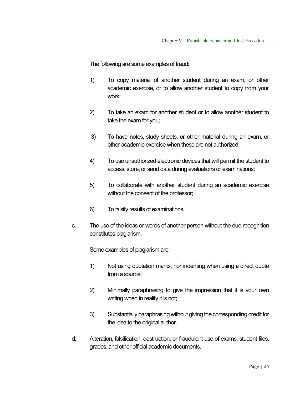The following are some examples of fraud:

- 1) To copy material of another student during an exam, or other academic exercise, or to allow another student to copy from your work;
- 2) To take an exam for another student or to allow another student to take the exam for you;
- 3) To have notes, study sheets, or other material during an exam, or other academic exercise when these are not authorized;
- 4) To use unauthorized electronic devices that will permit the student to access, store, or send data during evaluations or examinations;
- 5) To collaborate with another student during an academic exercise without the consent of the professor;
- 6) To falsify results of examinations.
- c. The use of the ideas or words of another person without the due recognition constitutes plagiarism.

Some examples of plagiarism are:

- 1) Not using quotation marks, nor indenting when using a direct quote from a source;
- 2) Minimally paraphrasing to give the impression that it is your own writing when in reality it is not;
- 3) Substantially paraphrasing without giving the corresponding credit for the idea to the original author.
- d. Alteration, falsification, destruction, or fraudulent use of exams, student files, grades, and other official academic documents.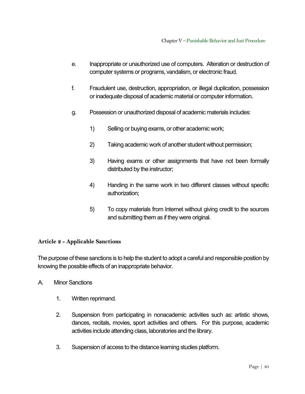- e. Inappropriate or unauthorized use of computers. Alteration or destruction of computer systems or programs, vandalism, or electronic fraud.
- f. Fraudulent use, destruction, appropriation, or illegal duplication, possession or inadequate disposal of academic material or computer information.
- g. Possession or unauthorized disposal of academic materials includes:
	- 1) Selling or buying exams, or other academic work;
	- 2) Taking academic work of another student without permission;
	- 3) Having exams or other assignments that have not been formally distributed by the instructor;
	- 4) Handing in the same work in two different classes without specific authorization;
	- 5) To copy materials from Internet without giving credit to the sources and submitting them as if they were original.

#### **Article 2 - Applicable Sanctions**

The purpose of these sanctions is to help the student to adopt a careful and responsible position by knowing the possible effects of an inappropriate behavior.

- A. Minor Sanctions
	- 1. Written reprimand.
	- 2. Suspension from participating in nonacademic activities such as: artistic shows, dances, recitals, movies, sport activities and others. For this purpose, academic activities include attending class, laboratories and the library.
	- 3. Suspension of access to the distance learning studies platform.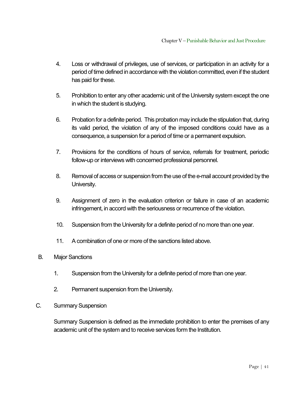- 4. Loss or withdrawal of privileges, use of services, or participation in an activity for a period of time defined in accordance with the violation committed, even if the student has paid for these.
- 5. Prohibition to enter any other academic unit of the University system except the one in which the student is studying.
- 6. Probation for a definite period. This probation may include the stipulation that, during its valid period, the violation of any of the imposed conditions could have as a consequence, a suspension for a period of time or a permanent expulsion.
- 7. Provisions for the conditions of hours of service, referrals for treatment, periodic follow-up or interviews with concerned professional personnel.
- 8. Removal of access or suspension from the use of the e-mail account provided by the University.
- 9. Assignment of zero in the evaluation criterion or failure in case of an academic infringement, in accord with the seriousness or recurrence of the violation.
- 10. Suspension from the University for a definite period of no more than one year.
- 11. A combination of one or more of the sanctions listed above.
- B. Major Sanctions
	- 1. Suspension from the University for a definite period of more than one year.
	- 2. Permanent suspension from the University.
- C. Summary Suspension

Summary Suspension is defined as the immediate prohibition to enter the premises of any academic unit of the system and to receive services form the Institution.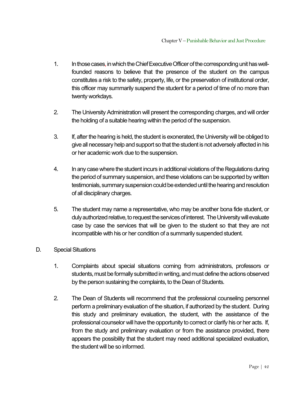- 1. In those cases, in which the Chief Executive Officer of the corresponding unit has wellfounded reasons to believe that the presence of the student on the campus constitutes a risk to the safety, property, life, or the preservation of institutional order, this officer may summarily suspend the student for a period of time of no more than twenty workdays.
- 2. The University Administration will present the corresponding charges, and will order the holding of a suitable hearing within the period of the suspension.
- 3. If, after the hearing is held, the student is exonerated, the University will be obliged to give all necessary help and support so that the student is not adversely affected in his or her academic work due to the suspension.
- 4. In any case where the student incurs in additional violations of the Regulations during the period of summary suspension, and these violations can be supported by written testimonials, summary suspension could be extended until the hearing and resolution of all disciplinary charges.
- 5. The student may name a representative, who may be another bona fide student, or duly authorized relative, to request the services of interest. The University will evaluate case by case the services that will be given to the student so that they are not incompatible with his or her condition of a summarily suspended student.
- D. Special Situations
	- 1. Complaints about special situations coming from administrators, professors or students, must be formally submitted in writing, and must define the actions observed by the person sustaining the complaints, to the Dean of Students.
	- 2. The Dean of Students will recommend that the professional counseling personnel perform a preliminary evaluation of the situation, if authorized by the student. During this study and preliminary evaluation, the student, with the assistance of the professional counselor will have the opportunity to correct or clarify his or her acts. If, from the study and preliminary evaluation or from the assistance provided, there appears the possibility that the student may need additional specialized evaluation, the student will be so informed.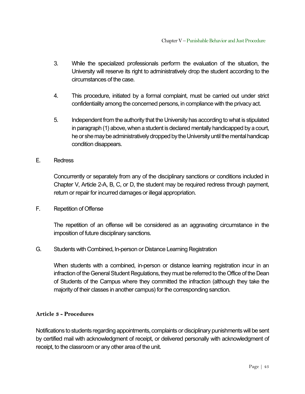- 3. While the specialized professionals perform the evaluation of the situation, the University will reserve its right to administratively drop the student according to the circumstances of the case.
- 4. This procedure, initiated by a formal complaint, must be carried out under strict confidentiality among the concerned persons, in compliance with the privacy act.
- 5. Independent from the authority that the University has according to what is stipulated in paragraph (1) above, when a student is declared mentally handicapped by a court, he or she may be administratively dropped by the University until the mental handicap condition disappears.
- E. Redress

Concurrently or separately from any of the disciplinary sanctions or conditions included in Chapter V, Article 2-A, B, C, or D, the student may be required redress through payment, return or repair for incurred damages or illegal appropriation.

F. Repetition of Offense

The repetition of an offense will be considered as an aggravating circumstance in the imposition of future disciplinary sanctions.

G. Students with Combined, In-person or Distance Learning Registration

When students with a combined, in-person or distance learning registration incur in an infraction of the General Student Regulations, they must be referred to the Office of the Dean of Students of the Campus where they committed the infraction (although they take the majority of their classes in another campus) for the corresponding sanction.

#### **Article 3 - Procedures**

Notifications to students regarding appointments, complaints or disciplinary punishments will be sent by certified mail with acknowledgment of receipt, or delivered personally with acknowledgment of receipt, to the classroom or any other area of the unit.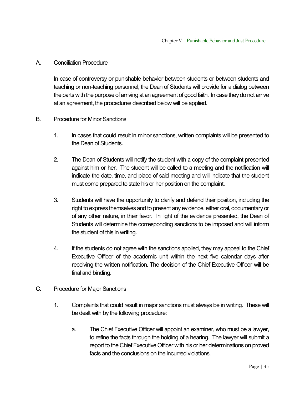#### A. Conciliation Procedure

In case of controversy or punishable behavior between students or between students and teaching or non-teaching personnel, the Dean of Students will provide for a dialog between the parts with the purpose of arriving at an agreement of good faith. In case they do not arrive at an agreement, the procedures described below will be applied.

#### B. Procedure for Minor Sanctions

- 1. In cases that could result in minor sanctions, written complaints will be presented to the Dean of Students.
- 2. The Dean of Students will notify the student with a copy of the complaint presented against him or her. The student will be called to a meeting and the notification will indicate the date, time, and place of said meeting and will indicate that the student must come prepared to state his or her position on the complaint.
- 3. Students will have the opportunity to clarify and defend their position, including the right to express themselves and to present any evidence, either oral, documentary or of any other nature, in their favor. In light of the evidence presented, the Dean of Students will determine the corresponding sanctions to be imposed and will inform the student of this in writing.
- 4. If the students do not agree with the sanctions applied, they may appeal to the Chief Executive Officer of the academic unit within the next five calendar days after receiving the written notification. The decision of the Chief Executive Officer will be final and binding.
- C. Procedure for Major Sanctions
	- 1. Complaints that could result in major sanctions must always be in writing. These will be dealt with by the following procedure:
		- a. The Chief Executive Officer will appoint an examiner, who must be a lawyer, to refine the facts through the holding of a hearing. The lawyer will submit a report to the Chief Executive Officer with his or her determinations on proved facts and the conclusions on the incurred violations.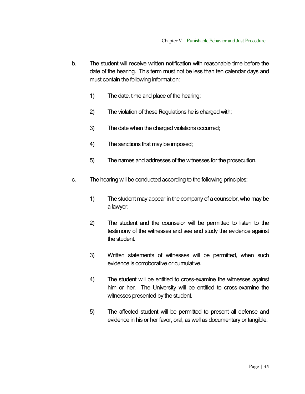- b. The student will receive written notification with reasonable time before the date of the hearing. This term must not be less than ten calendar days and must contain the following information:
	- 1) The date, time and place of the hearing;
	- 2) The violation of these Regulations he is charged with;
	- 3) The date when the charged violations occurred;
	- 4) The sanctions that may be imposed;
	- 5) The names and addresses of the witnesses for the prosecution.
- c. The hearing will be conducted according to the following principles:
	- 1) The student may appear in the company of a counselor, who may be a lawyer.
	- 2) The student and the counselor will be permitted to listen to the testimony of the witnesses and see and study the evidence against the student.
	- 3) Written statements of witnesses will be permitted, when such evidence is corroborative or cumulative.
	- 4) The student will be entitled to cross-examine the witnesses against him or her. The University will be entitled to cross-examine the witnesses presented by the student.
	- 5) The affected student will be permitted to present all defense and evidence in his or her favor, oral, as well as documentary or tangible.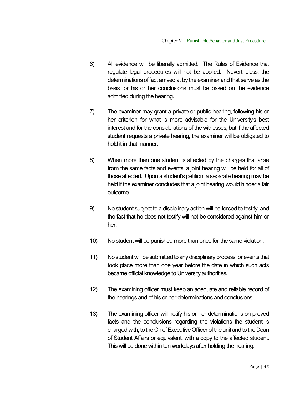- 6) All evidence will be liberally admitted. The Rules of Evidence that regulate legal procedures will not be applied. Nevertheless, the determinations of fact arrived at by the examiner and that serve as the basis for his or her conclusions must be based on the evidence admitted during the hearing.
- 7) The examiner may grant a private or public hearing, following his or her criterion for what is more advisable for the University's best interest and for the considerations of the witnesses, but if the affected student requests a private hearing, the examiner will be obligated to hold it in that manner.
- 8) When more than one student is affected by the charges that arise from the same facts and events, a joint hearing will be held for all of those affected. Upon a student's petition, a separate hearing may be held if the examiner concludes that a joint hearing would hinder a fair outcome.
- 9) No student subject to a disciplinary action will be forced to testify, and the fact that he does not testify will not be considered against him or her.
- 10) No student will be punished more than once for the same violation.
- 11) No student will be submitted to any disciplinary process for events that took place more than one year before the date in which such acts became official knowledge to University authorities.
- 12) The examining officer must keep an adequate and reliable record of the hearings and of his or her determinations and conclusions.
- 13) The examining officer will notify his or her determinations on proved facts and the conclusions regarding the violations the student is chargedwith, to the Chief Executive Officer of the unit and to the Dean of Student Affairs or equivalent, with a copy to the affected student. This will be done within ten workdays after holding the hearing.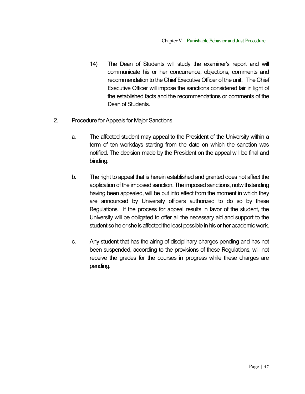- 14) The Dean of Students will study the examiner's report and will communicate his or her concurrence, objections, comments and recommendation to the Chief Executive Officer of the unit. The Chief Executive Officer will impose the sanctions considered fair in light of the established facts and the recommendations or comments of the Dean of Students.
- 2. Procedure for Appeals for Major Sanctions
	- a. The affected student may appeal to the President of the University within a term of ten workdays starting from the date on which the sanction was notified. The decision made by the President on the appeal will be final and binding.
	- b. The right to appeal that is herein established and granted does not affect the application of the imposed sanction. The imposed sanctions, notwithstanding having been appealed, will be put into effect from the moment in which they are announced by University officers authorized to do so by these Regulations. If the process for appeal results in favor of the student, the University will be obligated to offer all the necessary aid and support to the student so he or she is affected the least possible in his or her academic work.
	- c. Any student that has the airing of disciplinary charges pending and has not been suspended, according to the provisions of these Regulations, will not receive the grades for the courses in progress while these charges are pending.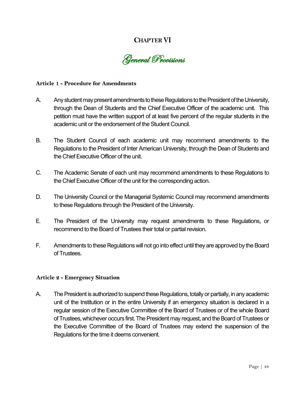# **CHAPTERVI**



#### **Article 1 - Procedure for Amendments**

- A. Any student may present amendments to these Regulations to the President of the University, through the Dean of Students and the Chief Executive Officer of the academic unit. This petition must have the written support of at least five percent of the regular students in the academic unit or the endorsement of the Student Council.
- B. The Student Council of each academic unit may recommend amendments to the Regulations to the President of Inter American University, through the Dean of Students and the Chief Executive Officer of the unit.
- C. The Academic Senate of each unit may recommend amendments to these Regulations to the Chief Executive Officer of the unit for the corresponding action.
- D. The University Council or the Managerial Systemic Council may recommend amendments to these Regulations through the President of the University.
- E. The President of the University may request amendments to these Regulations, or recommend to the Board of Trustees their total or partial revision.
- F. Amendments to these Regulations will not go into effect until they are approved by the Board of Trustees.

#### **Article 2 - Emergency Situation**

A. The President is authorized to suspend these Regulations, totally or partially, in any academic unit of the Institution or in the entire University if an emergency situation is declared in a regular session of the Executive Committee of the Board of Trustees or of the whole Board of Trustees, whichever occurs first. The President may request, and the Board of Trustees or the Executive Committee of the Board of Trustees may extend the suspension of the Regulations for the time it deems convenient.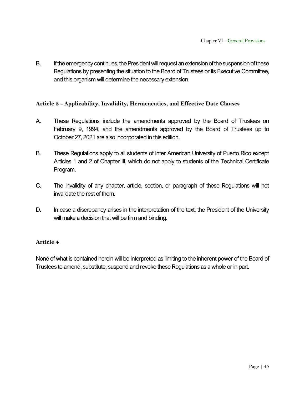B. If the emergency continues, the President will request an extension of the suspension of these Regulations by presenting the situation to the Board of Trustees or its Executive Committee, and this organism will determine the necessary extension.

#### **Article 3 - Applicability, Invalidity, Hermeneutics, and Effective Date Clauses**

- A. These Regulations include the amendments approved by the Board of Trustees on February 9, 1994, and the amendments approved by the Board of Trustees up to October 27, 2021 are also incorporated in this edition.
- B. These Regulations apply to all students of Inter American University of Puerto Rico except Articles 1 and 2 of Chapter III, which do not apply to students of the Technical Certificate Program.
- C. The invalidity of any chapter, article, section, or paragraph of these Regulations will not invalidate the rest of them.
- D. In case a discrepancy arises in the interpretation of the text, the President of the University will make a decision that will be firm and binding.

#### **Article 4**

None of what is contained herein will be interpreted as limiting to the inherent power of the Board of Trustees to amend, substitute, suspend and revoke these Regulations as a whole or in part.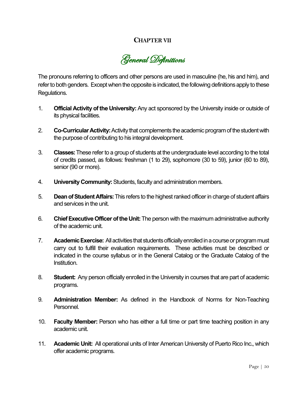## **CHAPTERVII**

General Definitions

The pronouns referring to officers and other persons are used in masculine (he, his and him), and refer to both genders. Except when the opposite is indicated, the following definitions apply to these Regulations.

- 1. **Official Activity of the University:** Any act sponsored by the University inside or outside of its physical facilities.
- 2. **Co-Curricular Activity:** Activity that complements the academic program of the student with the purpose of contributing to his integral development.
- 3. **Classes:** These refer to a group of students at the undergraduate level according to the total of credits passed, as follows: freshman (1 to 29), sophomore (30 to 59), junior (60 to 89), senior (90 or more).
- 4. **University Community:** Students, faculty and administration members.
- 5. **Dean of Student Affairs:** This refers to the highest ranked officerin charge of student affairs and services in the unit.
- 6. **Chief Executive Officer of the Unit:** The person with the maximum administrative authority of the academic unit.
- 7. **Academic Exercise:** All activities that students officially enrolled in a course or program must carry out to fulfill their evaluation requirements. These activities must be described or indicated in the course syllabus or in the General Catalog or the Graduate Catalog of the Institution.
- 8. **Student:** Any person officially enrolled in the University in courses that are part of academic programs.
- 9. **Administration Member:** As defined in the Handbook of Norms for Non-Teaching Personnel.
- 10. **Faculty Member:** Person who has either a full time or part time teaching position in any academic unit.
- 11. **Academic Unit:** All operational units of Inter American University of Puerto Rico Inc., which offer academic programs.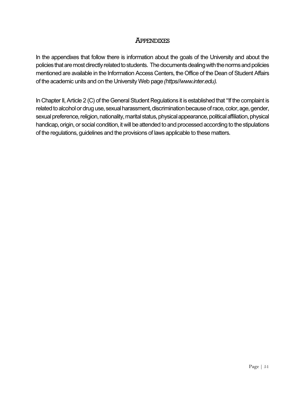# **APPENDIXES**

In the appendixes that follow there is information about the goals of the University and about the policies that are most directly related to students. The documents dealing with the norms and policies mentioned are available in the Information Access Centers, the Office of the Dean of Student Affairs of the academic units and on the University Web page *(https//www.inter.edu).*

In Chapter II, Article 2 (C) of the General Student Regulations it is established that "If the complaint is related to alcohol or drug use, sexual harassment, discrimination because of race, color, age, gender, sexual preference, religion, nationality, marital status, physical appearance, political affiliation, physical handicap, origin, or social condition, it will be attended to and processed according to the stipulations of the regulations, guidelines and the provisions of laws applicable to these matters.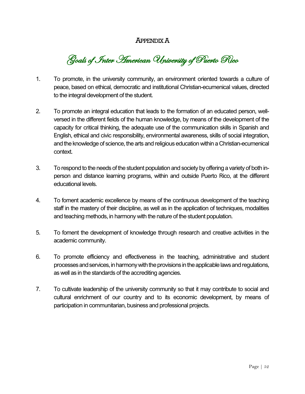# APPENDIX A

Goals of Inter American University of Puerto Rico

- 1. To promote, in the university community, an environment oriented towards a culture of peace, based on ethical, democratic and institutional Christian-ecumenical values, directed to the integral development of the student.
- 2. To promote an integral education that leads to the formation of an educated person, wellversed in the different fields of the human knowledge, by means of the development of the capacity for critical thinking, the adequate use of the communication skills in Spanish and English, ethical and civic responsibility, environmental awareness, skills of social integration, and the knowledge of science, the arts and religious education within a Christian-ecumenical context.
- 3. To respond to the needs of the student population and society by offering a variety of both inperson and distance learning programs, within and outside Puerto Rico, at the different educational levels.
- 4. To foment academic excellence by means of the continuous development of the teaching staff in the mastery of their discipline, as well as in the application of techniques, modalities and teaching methods, in harmony with the nature of the student population.
- 5. To foment the development of knowledge through research and creative activities in the academic community.
- 6. To promote efficiency and effectiveness in the teaching, administrative and student processes and services, in harmony with the provisions in the applicable laws and regulations, as well as in the standards of the accrediting agencies.
- 7. To cultivate leadership of the university community so that it may contribute to social and cultural enrichment of our country and to its economic development, by means of participation in communitarian, business and professional projects.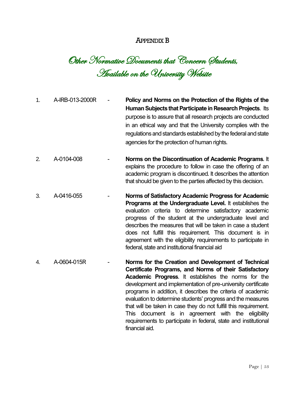## APPENDIX B

Other Normative Documents that Concern Students, Available on the University Website

- 1. A-IRB-013-2000R **Policy and Norms on the Protection of the Rights of the Human Subjects that Participate in Research Projects**. Its purpose is to assure that all research projects are conducted in an ethical way and that the University complies with the regulations and standards established by the federal and state agencies for the protection of human rights.
- 2. A-0104-008 **Norms on the Discontinuation of Academic Programs**. It explains the procedure to follow in case the offering of an academic program is discontinued. It describes the attention that should be given to the parties affected by this decision.
- 3. A-0416-055 **Norms of Satisfactory Academic Progress for Academic Programs at the Undergraduate Level.** It establishes the evaluation criteria to determine satisfactory academic progress of the student at the undergraduate level and describes the measures that will be taken in case a student does not fulfill this requirement. This document is in agreement with the eligibility requirements to participate in federal, state and institutional financial aid
- 4. A-0604-015R **Norms for the Creation and Development of Technical Certificate Programs, and Norms of their Satisfactory Academic Progress**. It establishes the norms for the development and implementation of pre-university certificate programs in addition, it describes the criteria of academic evaluation to determine students' progress and the measures that will be taken in case they do not fulfill this requirement. This document is in agreement with the eligibility requirements to participate in federal, state and institutional financial aid.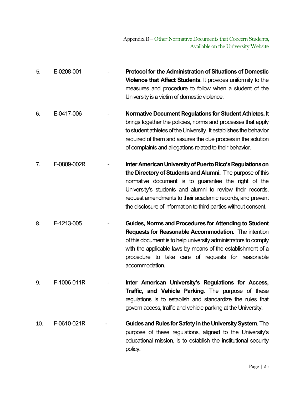5. E-0208-001 - **Protocol for the Administration of Situations of Domestic Violence that Affect Students**. It provides uniformity to the measures and procedure to follow when a student of the University is a victim of domestic violence. 6. E-0417-006 - **Normative Document Regulations for Student Athletes.** It brings together the policies, norms and processes that apply to student athletes of the University. It establishes the behavior required of them and assures the due process in the solution of complaints and allegations related to their behavior. 7. E-0809-002R - **Inter American University of Puerto Rico's Regulations on the Directory of Students and Alumni.** The purpose of this normative document is to guarantee the right of the University's students and alumni to review their records, request amendments to their academic records, and prevent the disclosure of information to third parties without consent. 8. E-1213-005 - **Guides, Norms and Procedures for Attending to Student Requests for Reasonable Accommodation.** The intention of this document is to help university administrators to comply with the applicable laws by means of the establishment of a procedure to take care of requests for reasonable accommodation. 9. F-1006-011R - **Inter American University's Regulations for Access, Traffic, and Vehicle Parking**. The purpose of these regulations is to establish and standardize the rules that govern access, traffic and vehicle parking at the University. 10. F-0610-021R - **Guides and Rules for Safetyin the University System**. The purpose of these regulations, aligned to the University's educational mission, is to establish the institutional security

policy.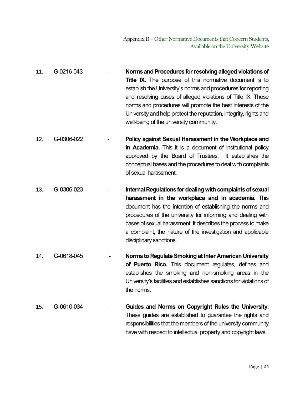- 11. G-0216-043 **Norms and Procedures for resolving alleged violations of Title IX.** The purpose of this normative document is to establish the University's norms and procedures for reporting and resolving cases of alleged violations of Title IX. These norms and procedures will promote the best interests of the University and help protect the reputation, integrity, rights and well-being of the university community.
- 12. G-0306-022 **Policy against Sexual Harassment in the Workplace and in Academia.** This it is a document of institutional policy approved by the Board of Trustees. It establishes the conceptual bases and the procedures to deal with complaints of sexual harassment.
- 13. G-0306-023 **Internal Regulations for dealing with complaints of sexual harassment in the workplace and in academia**. This document has the intention of establishing the norms and procedures of the university for informing and dealing with cases of sexual harassment. It describes the process to make a complaint, the nature of the investigation and applicable disciplinary sanctions.
- 14. G-0618-045 **- Norms to RegulateSmoking at Inter American University of Puerto Rico.** This document regulates, defines and establishes the smoking and non-smoking areas in the University's facilities and establishes sanctions for violations of the norms.
- 15. G-0610-034 **Guides and Norms on Copyright Rules the University**. These guides are established to guarantee the rights and responsibilities that the members of the university community have with respect to intellectual property and copyright laws.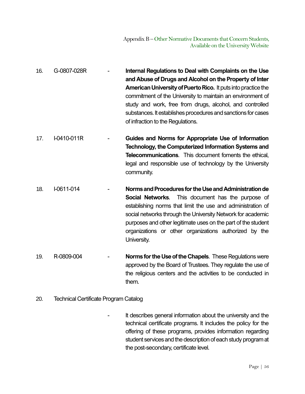- 16. G-0807-028R **Internal Regulations to Deal with Complaints on the Use and Abuse of Drugs and Alcohol on the Property of Inter American University of Puerto Rico.** It puts into practice the commitment of the University to maintain an environment of study and work, free from drugs, alcohol, and controlled substances. It establishes procedures and sanctions for cases of infraction to the Regulations.
- 17. I-0410-011R **Guides and Norms for Appropriate Use of Information Technology, the Computerized Information Systems and Telecommunications**. This document foments the ethical, legal and responsible use of technology by the University community.
- 18. I-0611-014 **Norms and Proceduresfor the Use and Administration de Social Networks**. This document has the purpose of establishing norms that limit the use and administration of social networks through the University Network for academic purposes and other legitimate uses on the part of the student organizations or other organizations authorized by the University.
- 19. R-0809-004 **Norms for the Use of the Chapels**. These Regulations were approved by the Board of Trustees. They regulate the use of the religious centers and the activities to be conducted in them.
- 20. Technical Certificate Program Catalog

It describes general information about the university and the technical certificate programs. It includes the policy for the offering of these programs, provides information regarding student services and the description of each study program at the post-secondary, certificate level.